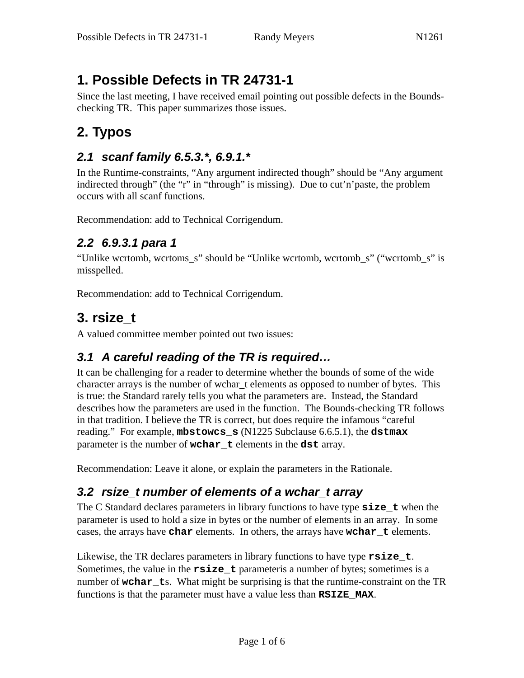# **1. Possible Defects in TR 24731-1**

Since the last meeting, I have received email pointing out possible defects in the Boundschecking TR. This paper summarizes those issues.

# **2. Typos**

### *2.1 scanf family 6.5.3.\*, 6.9.1.\**

In the Runtime-constraints, "Any argument indirected though" should be "Any argument indirected through" (the "r" in "through" is missing). Due to cut'n'paste, the problem occurs with all scanf functions.

Recommendation: add to Technical Corrigendum.

### *2.2 6.9.3.1 para 1*

"Unlike wcrtomb, wcrtoms\_s" should be "Unlike wcrtomb, wcrtomb\_s" ("wcrtomb\_s" is misspelled.

Recommendation: add to Technical Corrigendum.

## **3. rsize\_t**

A valued committee member pointed out two issues:

## *3.1 A careful reading of the TR is required…*

It can be challenging for a reader to determine whether the bounds of some of the wide character arrays is the number of wchar\_t elements as opposed to number of bytes. This is true: the Standard rarely tells you what the parameters are. Instead, the Standard describes how the parameters are used in the function. The Bounds-checking TR follows in that tradition. I believe the TR is correct, but does require the infamous "careful reading." For example, **mbstowcs\_s** (N1225 Subclause 6.6.5.1), the **dstmax** parameter is the number of **wchar\_t** elements in the **dst** array.

Recommendation: Leave it alone, or explain the parameters in the Rationale.

### *3.2 rsize\_t number of elements of a wchar\_t array*

The C Standard declares parameters in library functions to have type **size\_t** when the parameter is used to hold a size in bytes or the number of elements in an array. In some cases, the arrays have **char** elements. In others, the arrays have **wchar\_t** elements.

Likewise, the TR declares parameters in library functions to have type **rsize\_t**. Sometimes, the value in the **rsize\_t** parameteris a number of bytes; sometimes is a number of **wchar\_t**s. What might be surprising is that the runtime-constraint on the TR functions is that the parameter must have a value less than **RSIZE\_MAX**.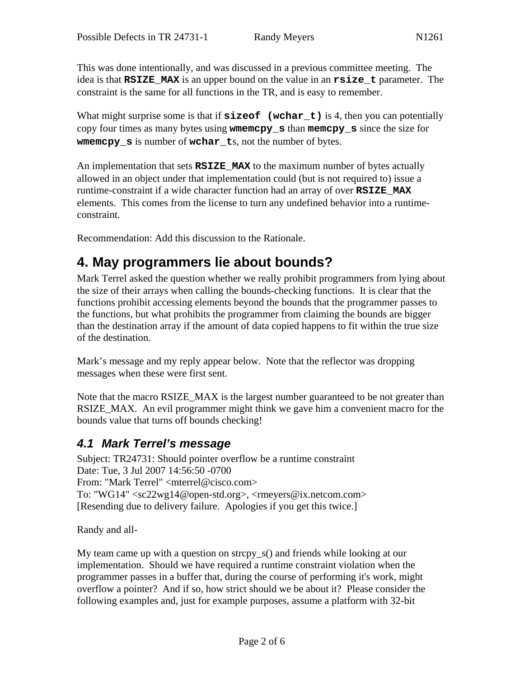This was done intentionally, and was discussed in a previous committee meeting. The idea is that **RSIZE\_MAX** is an upper bound on the value in an **rsize\_t** parameter. The constraint is the same for all functions in the TR, and is easy to remember.

What might surprise some is that if **sizeof** (wchar<sub>t</sub>) is 4, then you can potentially copy four times as many bytes using **wmemcpy\_s** than **memcpy\_s** since the size for **wmemcpy\_s** is number of **wchar\_t**s, not the number of bytes.

An implementation that sets **RSIZE\_MAX** to the maximum number of bytes actually allowed in an object under that implementation could (but is not required to) issue a runtime-constraint if a wide character function had an array of over **RSIZE\_MAX** elements. This comes from the license to turn any undefined behavior into a runtimeconstraint.

Recommendation: Add this discussion to the Rationale.

# **4. May programmers lie about bounds?**

Mark Terrel asked the question whether we really prohibit programmers from lying about the size of their arrays when calling the bounds-checking functions. It is clear that the functions prohibit accessing elements beyond the bounds that the programmer passes to the functions, but what prohibits the programmer from claiming the bounds are bigger than the destination array if the amount of data copied happens to fit within the true size of the destination.

Mark's message and my reply appear below. Note that the reflector was dropping messages when these were first sent.

Note that the macro RSIZE MAX is the largest number guaranteed to be not greater than RSIZE\_MAX. An evil programmer might think we gave him a convenient macro for the bounds value that turns off bounds checking!

#### *4.1 Mark Terrel's message*

Subject: TR24731: Should pointer overflow be a runtime constraint Date: Tue, 3 Jul 2007 14:56:50 -0700 From: "Mark Terrel" <mterrel@cisco.com> To: "WG14" <sc22wg14@open-std.org>, <rmeyers@ix.netcom.com> [Resending due to delivery failure. Apologies if you get this twice.]

Randy and all-

My team came up with a question on strcpy  $s()$  and friends while looking at our implementation. Should we have required a runtime constraint violation when the programmer passes in a buffer that, during the course of performing it's work, might overflow a pointer? And if so, how strict should we be about it? Please consider the following examples and, just for example purposes, assume a platform with 32-bit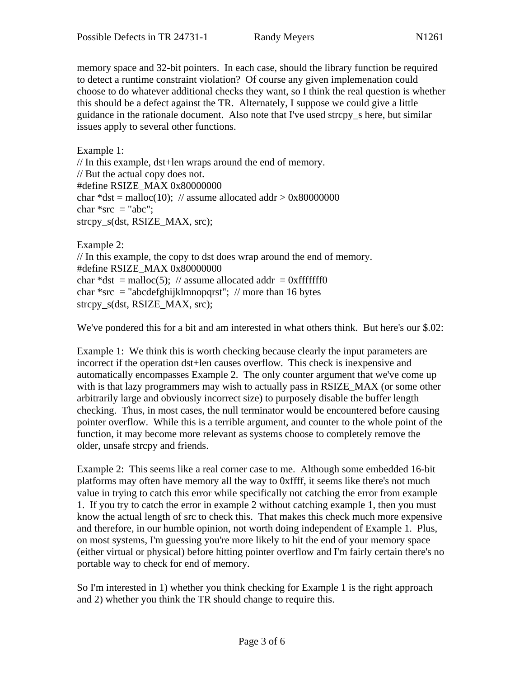memory space and 32-bit pointers. In each case, should the library function be required to detect a runtime constraint violation? Of course any given implemenation could choose to do whatever additional checks they want, so I think the real question is whether this should be a defect against the TR. Alternately, I suppose we could give a little guidance in the rationale document. Also note that I've used strcpy\_s here, but similar issues apply to several other functions.

Example 1: // In this example, dst+len wraps around the end of memory. // But the actual copy does not. #define RSIZE\_MAX 0x80000000 char \*dst = malloc(10); // assume allocated addr >  $0x80000000$ char  $*src = "abc";$ strcpy\_s(dst, RSIZE\_MAX, src);

Example 2: // In this example, the copy to dst does wrap around the end of memory. #define RSIZE\_MAX 0x80000000 char \*dst = malloc(5); // assume allocated addr = 0xfffffff0 char \*src = "abcdefghijklmnopqrst"; // more than 16 bytes strcpy\_s(dst, RSIZE\_MAX, src);

We've pondered this for a bit and am interested in what others think. But here's our \$.02:

Example 1: We think this is worth checking because clearly the input parameters are incorrect if the operation dst+len causes overflow. This check is inexpensive and automatically encompasses Example 2. The only counter argument that we've come up with is that lazy programmers may wish to actually pass in RSIZE\_MAX (or some other arbitrarily large and obviously incorrect size) to purposely disable the buffer length checking. Thus, in most cases, the null terminator would be encountered before causing pointer overflow. While this is a terrible argument, and counter to the whole point of the function, it may become more relevant as systems choose to completely remove the older, unsafe strcpy and friends.

Example 2: This seems like a real corner case to me. Although some embedded 16-bit platforms may often have memory all the way to 0xffff, it seems like there's not much value in trying to catch this error while specifically not catching the error from example 1. If you try to catch the error in example 2 without catching example 1, then you must know the actual length of src to check this. That makes this check much more expensive and therefore, in our humble opinion, not worth doing independent of Example 1. Plus, on most systems, I'm guessing you're more likely to hit the end of your memory space (either virtual or physical) before hitting pointer overflow and I'm fairly certain there's no portable way to check for end of memory.

So I'm interested in 1) whether you think checking for Example 1 is the right approach and 2) whether you think the TR should change to require this.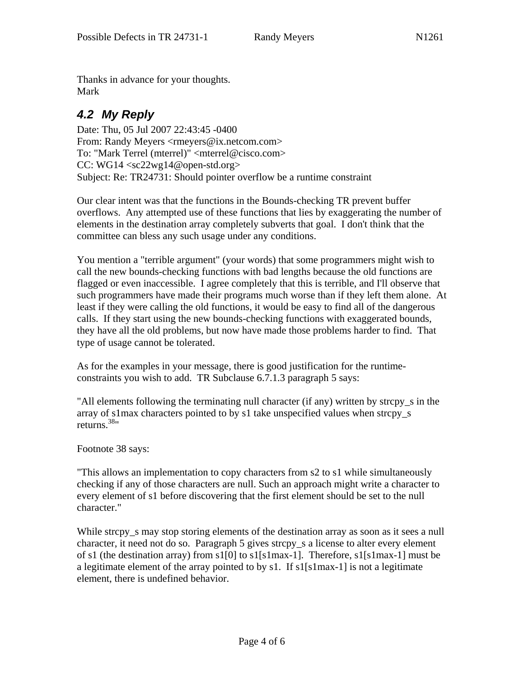Thanks in advance for your thoughts. Mark

## *4.2 My Reply*

Date: Thu, 05 Jul 2007 22:43:45 -0400 From: Randy Meyers <rmeyers@ix.netcom.com> To: "Mark Terrel (mterrel)" <mterrel@cisco.com> CC: WG14 <sc22wg14@open-std.org> Subject: Re: TR24731: Should pointer overflow be a runtime constraint

Our clear intent was that the functions in the Bounds-checking TR prevent buffer overflows. Any attempted use of these functions that lies by exaggerating the number of elements in the destination array completely subverts that goal. I don't think that the committee can bless any such usage under any conditions.

You mention a "terrible argument" (your words) that some programmers might wish to call the new bounds-checking functions with bad lengths because the old functions are flagged or even inaccessible. I agree completely that this is terrible, and I'll observe that such programmers have made their programs much worse than if they left them alone. At least if they were calling the old functions, it would be easy to find all of the dangerous calls. If they start using the new bounds-checking functions with exaggerated bounds, they have all the old problems, but now have made those problems harder to find. That type of usage cannot be tolerated.

As for the examples in your message, there is good justification for the runtimeconstraints you wish to add. TR Subclause 6.7.1.3 paragraph 5 says:

"All elements following the terminating null character (if any) written by strcpy\_s in the array of s1max characters pointed to by s1 take unspecified values when strcpy\_s returns.38"

Footnote 38 says:

"This allows an implementation to copy characters from s2 to s1 while simultaneously checking if any of those characters are null. Such an approach might write a character to every element of s1 before discovering that the first element should be set to the null character."

While strcpy\_s may stop storing elements of the destination array as soon as it sees a null character, it need not do so. Paragraph 5 gives strcpy\_s a license to alter every element of s1 (the destination array) from s1[0] to s1[s1max-1]. Therefore, s1[s1max-1] must be a legitimate element of the array pointed to by s1. If s1[s1max-1] is not a legitimate element, there is undefined behavior.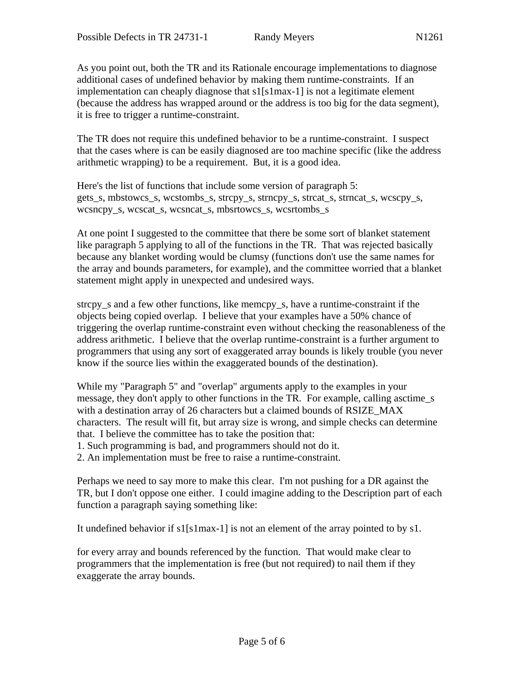As you point out, both the TR and its Rationale encourage implementations to diagnose additional cases of undefined behavior by making them runtime-constraints. If an implementation can cheaply diagnose that s1[s1max-1] is not a legitimate element (because the address has wrapped around or the address is too big for the data segment), it is free to trigger a runtime-constraint.

The TR does not require this undefined behavior to be a runtime-constraint. I suspect that the cases where is can be easily diagnosed are too machine specific (like the address arithmetic wrapping) to be a requirement. But, it is a good idea.

Here's the list of functions that include some version of paragraph 5: gets\_s, mbstowcs\_s, wcstombs\_s, strcpy\_s, strncpy\_s, strcat\_s, strncat\_s, wcscpy\_s, wcsncpy\_s, wcscat\_s, wcsncat\_s, mbsrtowcs\_s, wcsrtombs\_s

At one point I suggested to the committee that there be some sort of blanket statement like paragraph 5 applying to all of the functions in the TR. That was rejected basically because any blanket wording would be clumsy (functions don't use the same names for the array and bounds parameters, for example), and the committee worried that a blanket statement might apply in unexpected and undesired ways.

strcpy\_s and a few other functions, like memcpy\_s, have a runtime-constraint if the objects being copied overlap. I believe that your examples have a 50% chance of triggering the overlap runtime-constraint even without checking the reasonableness of the address arithmetic. I believe that the overlap runtime-constraint is a further argument to programmers that using any sort of exaggerated array bounds is likely trouble (you never know if the source lies within the exaggerated bounds of the destination).

While my "Paragraph 5" and "overlap" arguments apply to the examples in your message, they don't apply to other functions in the TR. For example, calling asctime\_s with a destination array of 26 characters but a claimed bounds of RSIZE\_MAX characters. The result will fit, but array size is wrong, and simple checks can determine that. I believe the committee has to take the position that:

1. Such programming is bad, and programmers should not do it.

2. An implementation must be free to raise a runtime-constraint.

Perhaps we need to say more to make this clear. I'm not pushing for a DR against the TR, but I don't oppose one either. I could imagine adding to the Description part of each function a paragraph saying something like:

It undefined behavior if s1[s1max-1] is not an element of the array pointed to by s1.

for every array and bounds referenced by the function. That would make clear to programmers that the implementation is free (but not required) to nail them if they exaggerate the array bounds.